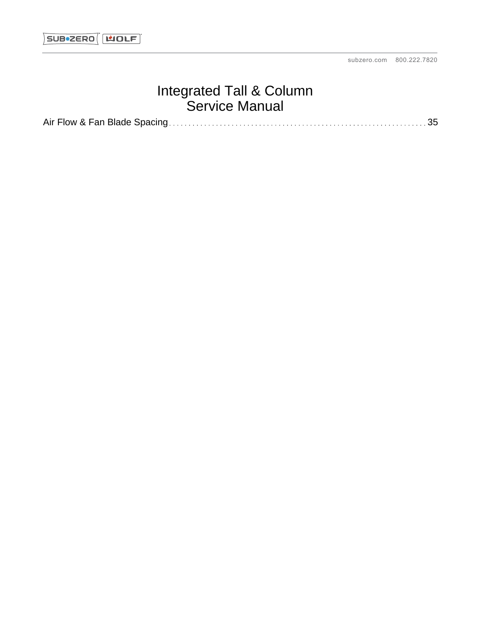# Integrated Tall & Column Service Manual

Air Flow & Fan Blade Spacing 35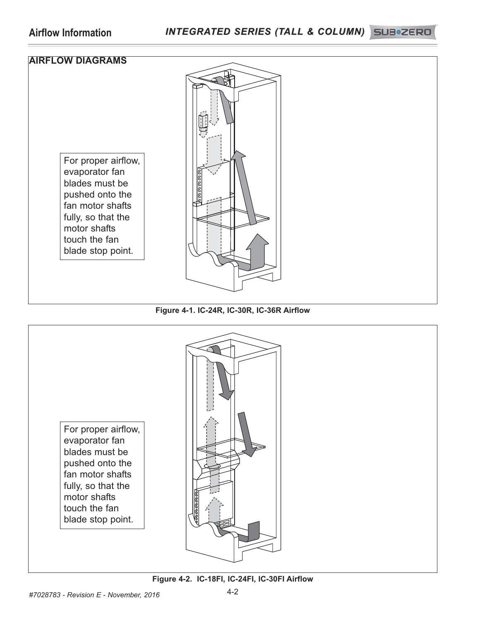

### **Figure 4-1. IC-24R, IC-30R, IC-36R Airflow**

For proper airflow, evaporator fan blades must be pushed onto the fan motor shafts fully, so that the motor shafts touch the fan blade stop point.



### **Figure 4-2. IC-18FI, IC-24FI, IC-30FI Airflow**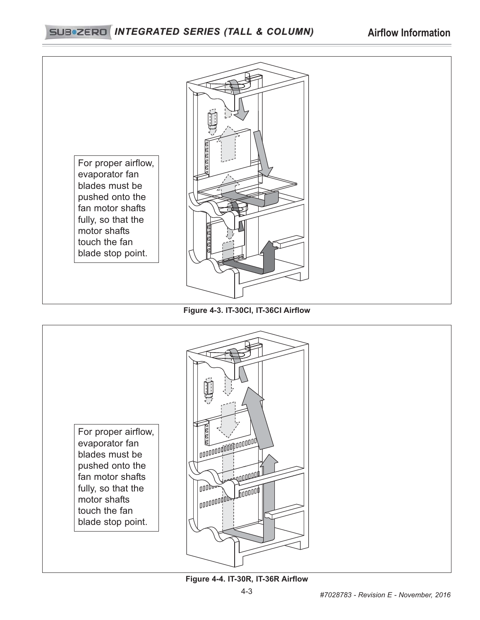## *INTEGRATED SERIES (TALL & COLUMN) INTEGRATED SERIES (TALL & COLUMN)* **Airflow Information**



## **Figure 4-3. IT-30CI, IT-36CI Airflow**

For proper airflow, evaporator fan blades must be pushed onto the fan motor shafts fully, so that the motor shafts touch the fan blade stop point.



## **Figure 4-4. IT-30R, IT-36R Airflow**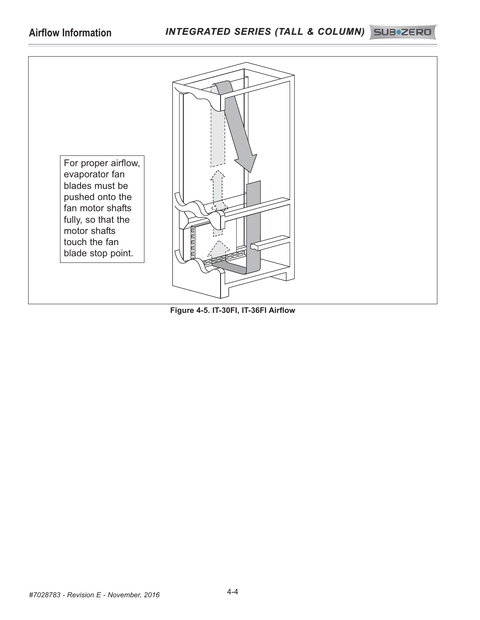## Airflow Information *INTEGRATED SERIES (TALL & COLUMN)* SUB\*ZERD



**Figure 4-5. IT-30FI, IT-36FI Airflow**